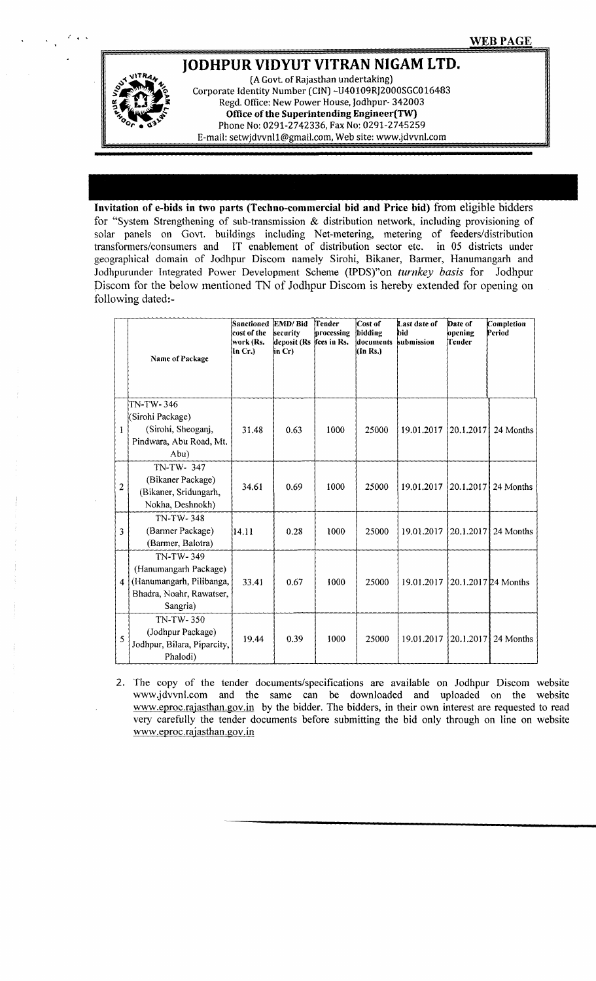## **JODHPUR VIDYUT VITRAN NIGAM LTD.**



(A Govt. of Rajasthan undertaking) Corporate Identity Number (CIN) -U40109RJ2000SGC016483 Regd. Office: New Power House, Jodhpur- 342003 **Office of the Superintending Engineer(TW)** Phone No: 0291-2742336, Fax No: 0291-2745259 E-mail: [setwjdvvnl1@gmail.com,](mailto:setwjdvvnl1@gmail.com,) Web site: [www.jdvvnl.com](http://www.jdvvnl.com)

**Invitation of e-bids in two parts (Techno-commercial bid and Price bid)** from eligible bidders for "System Strengthening of sub-transmission & distribution network, including provisioning of solar panels on Govt. buildings including Net-metering, metering of feeders/distribution transformers/consumers and IT enablement of distribution sector etc. in 05 districts under geographical domain of Jodhpur Discom namely Sirohi, Bikaner, Barmer, Hanumangarh and Jodhpurunder Integrated Power Development Scheme (IPDS)"on *turnkey basis* for Jodhpur Discom for the below mentioned TN of Jodhpur Discom is hereby extended for opening on following dated:-

|                         | Name of Package                                                                                        | Sanctioned<br>cost of the<br>work (Rs.<br>In Cr.) | EMD/Bid<br>security<br>deposit (Rs<br>in Cr) | Tender<br>processing<br>fees in Rs. | Cost of<br>bidding<br>documents<br>(In Rs.) | Last date of<br>hid<br>submission | Date of<br>opening<br>Tender | Completion<br>Period |
|-------------------------|--------------------------------------------------------------------------------------------------------|---------------------------------------------------|----------------------------------------------|-------------------------------------|---------------------------------------------|-----------------------------------|------------------------------|----------------------|
| 1                       | TN-TW-346<br>(Sirohi Package)<br>(Sirohi, Sheoganj,<br>Pindwara, Abu Road, Mt.<br>Abu)                 | 31.48                                             | 0.63                                         | 1000                                | 25000                                       | 19.01.2017                        | 20.1.2017                    | 24 Months            |
| $\overline{\mathbf{c}}$ | TN-TW-347<br>(Bikaner Package)<br>(Bikaner, Sridungarh,<br>Nokha, Deshnokh)                            | 34.61                                             | 0.69                                         | 1000                                | 25000                                       | 19.01.2017                        | 20.1.2017                    | 24 Months            |
| 3                       | TN-TW-348<br>(Barmer Package)<br>(Barmer, Balotra)                                                     | 14.11                                             | 0.28                                         | 1000                                | 25000                                       | 19.01.2017                        | 20.1.2017                    | 24 Months            |
| $\overline{4}$          | TN-TW-349<br>(Hanumangarh Package)<br>(Hanumangarh, Pilibanga,<br>Bhadra, Noahr, Rawatser,<br>Sangria) | 33.41                                             | 0.67                                         | 1000                                | 25000                                       | 19.01.2017                        |                              | 20.1.2017 24 Months  |
| 5                       | TN-TW-350<br>(Jodhpur Package)<br>Jodhpur, Bilara, Piparcity,<br>Phalodi)                              | 19.44                                             | 0.39                                         | 1000                                | 25000                                       | 19.01.2017                        | 20.1.2017                    | 24 Months            |

2. The copy of the tender documents/specifications are available on Jodhpur Discom website www.jdvvnLcom and the same can be downloaded and uploaded on the website [www.eproc.rajasthan.gov.in](http://www.eproc.rajasthan.gov.in) by the bidder. The bidders, in their own interest are requested to read very carefully the tender documents before submitting the bid only through on line on website [www.eproc.rajasthan.gov.in](http://www.eproc.rajasthan.gov.in)